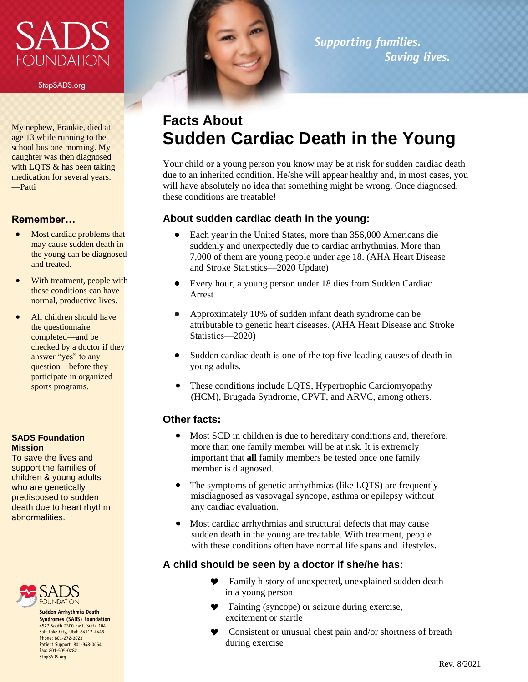# **NUNDATION**

StopSADS.org

My nephew, Frankie, died at age 13 while running to the school bus one morning. My daughter was then diagnosed with LQTS & has been taking medication for several years. —Patti

#### **Remember…**

- Most cardiac problems that may cause sudden death in the young can be diagnosed and treated.
- With treatment, people with these conditions can have normal, productive lives.
- All children should have the questionnaire completed—and be checked by a doctor if they answer "yes" to any question—before they participate in organized sports programs.

#### **SADS Foundation Mission**

To save the lives and support the families of children & young adults who are genetically predisposed to sudden death due to heart rhythm abnormalities.



**Sudden Arrhythmia Death Syndromes (SADS) Foundation** 4527 South 2300 East, Suite 104 Salt Lake City, Utah 84117-4448 Phone: 801-272-3023 Patient Support: 801-948-0654 Fax: 801-505-0282 StopSADS.org



### *Supporting families. Saving lives.*

# **Facts About Sudden Cardiac Death in the Young**

Your child or a young person you know may be at risk for sudden cardiac death due to an inherited condition. He/she will appear healthy and, in most cases, you will have absolutely no idea that something might be wrong. Once diagnosed, these conditions are treatable!

#### **About sudden cardiac death in the young:**

- Each year in the United States, more than 356,000 Americans die suddenly and unexpectedly due to cardiac arrhythmias. More than 7,000 of them are young people under age 18. (AHA Heart Disease and Stroke Statistics—2020 Update)
- Every hour, a young person under 18 dies from Sudden Cardiac Arrest
- Approximately 10% of sudden infant death syndrome can be attributable to genetic heart diseases. (AHA Heart Disease and Stroke Statistics—2020)
- Sudden cardiac death is one of the top five leading causes of death in young adults.
- These conditions include LQTS, Hypertrophic Cardiomyopathy (HCM), Brugada Syndrome, CPVT, and ARVC, among others.

#### **Other facts:**

- Most SCD in children is due to hereditary conditions and, therefore, more than one family member will be at risk. It is extremely important that **all** family members be tested once one family member is diagnosed.
- The symptoms of genetic arrhythmias (like LQTS) are frequently misdiagnosed as vasovagal syncope, asthma or epilepsy without any cardiac evaluation.
- Most cardiac arrhythmias and structural defects that may cause sudden death in the young are treatable. With treatment, people with these conditions often have normal life spans and lifestyles.

#### **A child should be seen by a doctor if she/he has:**

- **P** Family history of unexpected, unexplained sudden death in a young person
- Fainting (syncope) or seizure during exercise, excitement or startle
- Consistent or unusual chest pain and/or shortness of breath during exercise